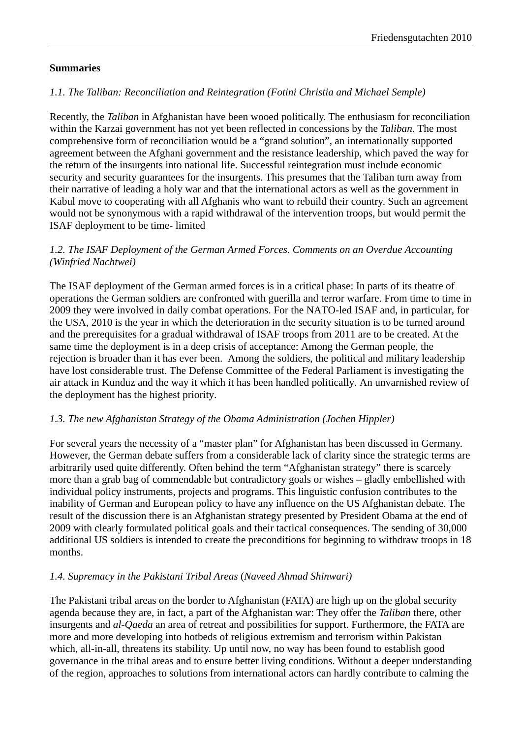#### **Summaries**

# *1.1. The Taliban: Reconciliation and Reintegration (Fotini Christia and Michael Semple)*

Recently, the *Taliban* in Afghanistan have been wooed politically. The enthusiasm for reconciliation within the Karzai government has not yet been reflected in concessions by the *Taliban*. The most comprehensive form of reconciliation would be a "grand solution", an internationally supported agreement between the Afghani government and the resistance leadership, which paved the way for the return of the insurgents into national life. Successful reintegration must include economic security and security guarantees for the insurgents. This presumes that the Taliban turn away from their narrative of leading a holy war and that the international actors as well as the government in Kabul move to cooperating with all Afghanis who want to rebuild their country. Such an agreement would not be synonymous with a rapid withdrawal of the intervention troops, but would permit the ISAF deployment to be time- limited

#### *1.2. The ISAF Deployment of the German Armed Forces. Comments on an Overdue Accounting (Winfried Nachtwei)*

The ISAF deployment of the German armed forces is in a critical phase: In parts of its theatre of operations the German soldiers are confronted with guerilla and terror warfare. From time to time in 2009 they were involved in daily combat operations. For the NATO-led ISAF and, in particular, for the USA, 2010 is the year in which the deterioration in the security situation is to be turned around and the prerequisites for a gradual withdrawal of ISAF troops from 2011 are to be created. At the same time the deployment is in a deep crisis of acceptance: Among the German people, the rejection is broader than it has ever been. Among the soldiers, the political and military leadership have lost considerable trust. The Defense Committee of the Federal Parliament is investigating the air attack in Kunduz and the way it which it has been handled politically. An unvarnished review of the deployment has the highest priority.

## *1.3. The new Afghanistan Strategy of the Obama Administration (Jochen Hippler)*

For several years the necessity of a "master plan" for Afghanistan has been discussed in Germany. However, the German debate suffers from a considerable lack of clarity since the strategic terms are arbitrarily used quite differently. Often behind the term "Afghanistan strategy" there is scarcely more than a grab bag of commendable but contradictory goals or wishes – gladly embellished with individual policy instruments, projects and programs. This linguistic confusion contributes to the inability of German and European policy to have any influence on the US Afghanistan debate. The result of the discussion there is an Afghanistan strategy presented by President Obama at the end of 2009 with clearly formulated political goals and their tactical consequences. The sending of 30,000 additional US soldiers is intended to create the preconditions for beginning to withdraw troops in 18 months.

#### *1.4. Supremacy in the Pakistani Tribal Areas* (*Naveed Ahmad Shinwari)*

The Pakistani tribal areas on the border to Afghanistan (FATA) are high up on the global security agenda because they are, in fact, a part of the Afghanistan war: They offer the *Taliban* there, other insurgents and *al-Qaeda* an area of retreat and possibilities for support. Furthermore, the FATA are more and more developing into hotbeds of religious extremism and terrorism within Pakistan which, all-in-all, threatens its stability. Up until now, no way has been found to establish good governance in the tribal areas and to ensure better living conditions. Without a deeper understanding of the region, approaches to solutions from international actors can hardly contribute to calming the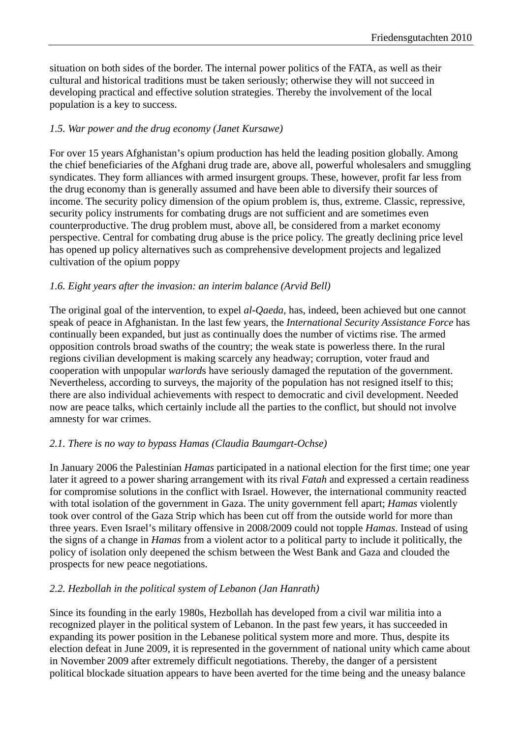situation on both sides of the border. The internal power politics of the FATA, as well as their cultural and historical traditions must be taken seriously; otherwise they will not succeed in developing practical and effective solution strategies. Thereby the involvement of the local population is a key to success.

#### *1.5. War power and the drug economy (Janet Kursawe)*

For over 15 years Afghanistan's opium production has held the leading position globally. Among the chief beneficiaries of the Afghani drug trade are, above all, powerful wholesalers and smuggling syndicates. They form alliances with armed insurgent groups. These, however, profit far less from the drug economy than is generally assumed and have been able to diversify their sources of income. The security policy dimension of the opium problem is, thus, extreme. Classic, repressive, security policy instruments for combating drugs are not sufficient and are sometimes even counterproductive. The drug problem must, above all, be considered from a market economy perspective. Central for combating drug abuse is the price policy. The greatly declining price level has opened up policy alternatives such as comprehensive development projects and legalized cultivation of the opium poppy

#### *1.6. Eight years after the invasion: an interim balance (Arvid Bell)*

The original goal of the intervention, to expel *al-Qaeda,* has, indeed, been achieved but one cannot speak of peace in Afghanistan. In the last few years, the *International Security Assistance Force* has continually been expanded, but just as continually does the number of victims rise. The armed opposition controls broad swaths of the country; the weak state is powerless there. In the rural regions civilian development is making scarcely any headway; corruption, voter fraud and cooperation with unpopular *warlord*s have seriously damaged the reputation of the government. Nevertheless, according to surveys, the majority of the population has not resigned itself to this; there are also individual achievements with respect to democratic and civil development. Needed now are peace talks, which certainly include all the parties to the conflict, but should not involve amnesty for war crimes.

#### *2.1. There is no way to bypass Hamas (Claudia Baumgart-Ochse)*

In January 2006 the Palestinian *Hamas* participated in a national election for the first time; one year later it agreed to a power sharing arrangement with its rival *Fatah* and expressed a certain readiness for compromise solutions in the conflict with Israel. However, the international community reacted with total isolation of the government in Gaza. The unity government fell apart; *Hamas* violently took over control of the Gaza Strip which has been cut off from the outside world for more than three years. Even Israel's military offensive in 2008/2009 could not topple *Hamas*. Instead of using the signs of a change in *Hamas* from a violent actor to a political party to include it politically, the policy of isolation only deepened the schism between the West Bank and Gaza and clouded the prospects for new peace negotiations.

#### *2.2. Hezbollah in the political system of Lebanon (Jan Hanrath)*

Since its founding in the early 1980s, Hezbollah has developed from a civil war militia into a recognized player in the political system of Lebanon. In the past few years, it has succeeded in expanding its power position in the Lebanese political system more and more. Thus, despite its election defeat in June 2009, it is represented in the government of national unity which came about in November 2009 after extremely difficult negotiations. Thereby, the danger of a persistent political blockade situation appears to have been averted for the time being and the uneasy balance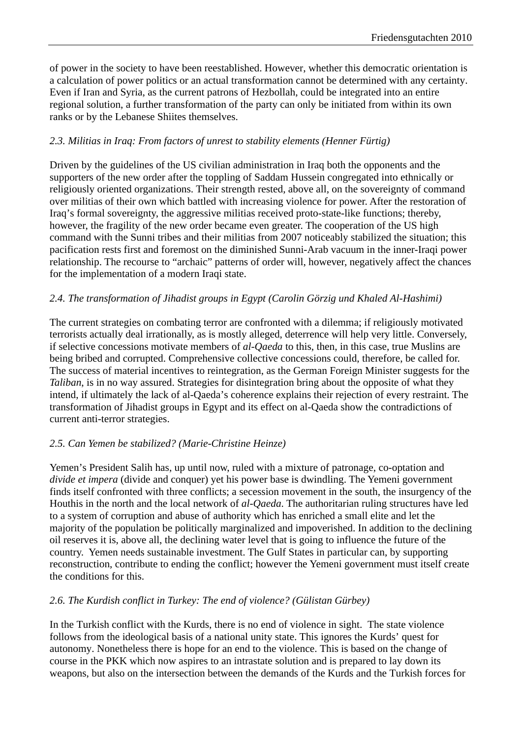of power in the society to have been reestablished. However, whether this democratic orientation is a calculation of power politics or an actual transformation cannot be determined with any certainty. Even if Iran and Syria, as the current patrons of Hezbollah, could be integrated into an entire regional solution, a further transformation of the party can only be initiated from within its own ranks or by the Lebanese Shiites themselves.

# *2.3. Militias in Iraq: From factors of unrest to stability elements (Henner Fürtig)*

Driven by the guidelines of the US civilian administration in Iraq both the opponents and the supporters of the new order after the toppling of Saddam Hussein congregated into ethnically or religiously oriented organizations. Their strength rested, above all, on the sovereignty of command over militias of their own which battled with increasing violence for power. After the restoration of Iraq's formal sovereignty, the aggressive militias received proto-state-like functions; thereby, however, the fragility of the new order became even greater. The cooperation of the US high command with the Sunni tribes and their militias from 2007 noticeably stabilized the situation; this pacification rests first and foremost on the diminished Sunni-Arab vacuum in the inner-Iraqi power relationship. The recourse to "archaic" patterns of order will, however, negatively affect the chances for the implementation of a modern Iraqi state.

## *2.4. The transformation of Jihadist groups in Egypt (Carolin Görzig und Khaled Al-Hashimi)*

The current strategies on combating terror are confronted with a dilemma; if religiously motivated terrorists actually deal irrationally, as is mostly alleged, deterrence will help very little. Conversely, if selective concessions motivate members of *al-Qaeda* to this, then, in this case, true Muslins are being bribed and corrupted. Comprehensive collective concessions could, therefore, be called for. The success of material incentives to reintegration, as the German Foreign Minister suggests for the *Taliban*, is in no way assured. Strategies for disintegration bring about the opposite of what they intend, if ultimately the lack of al-Qaeda's coherence explains their rejection of every restraint. The transformation of Jihadist groups in Egypt and its effect on al-Qaeda show the contradictions of current anti-terror strategies.

## *2.5. Can Yemen be stabilized? (Marie-Christine Heinze)*

Yemen's President Salih has, up until now, ruled with a mixture of patronage, co-optation and *divide et impera* (divide and conquer) yet his power base is dwindling. The Yemeni government finds itself confronted with three conflicts; a secession movement in the south, the insurgency of the Houthis in the north and the local network of *al-Qaeda*. The authoritarian ruling structures have led to a system of corruption and abuse of authority which has enriched a small elite and let the majority of the population be politically marginalized and impoverished. In addition to the declining oil reserves it is, above all, the declining water level that is going to influence the future of the country. Yemen needs sustainable investment. The Gulf States in particular can, by supporting reconstruction, contribute to ending the conflict; however the Yemeni government must itself create the conditions for this.

## *2.6. The Kurdish conflict in Turkey: The end of violence? (Gülistan Gürbey)*

In the Turkish conflict with the Kurds, there is no end of violence in sight. The state violence follows from the ideological basis of a national unity state. This ignores the Kurds' quest for autonomy. Nonetheless there is hope for an end to the violence. This is based on the change of course in the PKK which now aspires to an intrastate solution and is prepared to lay down its weapons, but also on the intersection between the demands of the Kurds and the Turkish forces for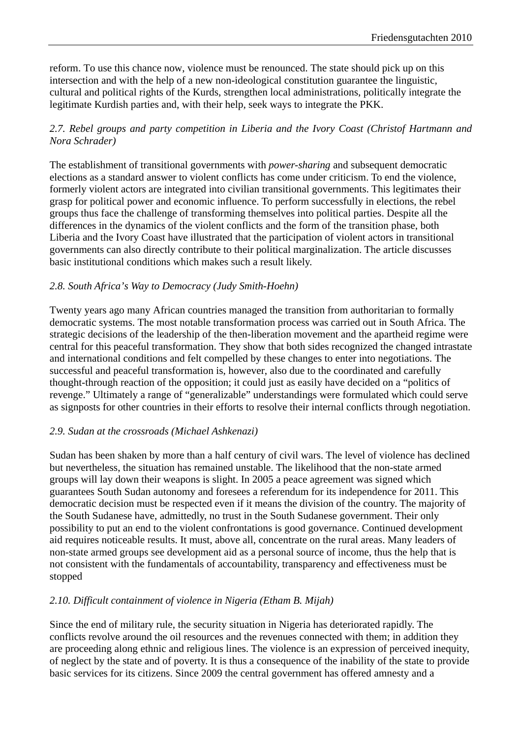reform. To use this chance now, violence must be renounced. The state should pick up on this intersection and with the help of a new non-ideological constitution guarantee the linguistic, cultural and political rights of the Kurds, strengthen local administrations, politically integrate the legitimate Kurdish parties and, with their help, seek ways to integrate the PKK.

## *2.7. Rebel groups and party competition in Liberia and the Ivory Coast (Christof Hartmann and Nora Schrader)*

The establishment of transitional governments with *power-sharing* and subsequent democratic elections as a standard answer to violent conflicts has come under criticism. To end the violence, formerly violent actors are integrated into civilian transitional governments. This legitimates their grasp for political power and economic influence. To perform successfully in elections, the rebel groups thus face the challenge of transforming themselves into political parties. Despite all the differences in the dynamics of the violent conflicts and the form of the transition phase, both Liberia and the Ivory Coast have illustrated that the participation of violent actors in transitional governments can also directly contribute to their political marginalization. The article discusses basic institutional conditions which makes such a result likely.

## *2.8. South Africa's Way to Democracy (Judy Smith-Hoehn)*

Twenty years ago many African countries managed the transition from authoritarian to formally democratic systems. The most notable transformation process was carried out in South Africa. The strategic decisions of the leadership of the then-liberation movement and the apartheid regime were central for this peaceful transformation. They show that both sides recognized the changed intrastate and international conditions and felt compelled by these changes to enter into negotiations. The successful and peaceful transformation is, however, also due to the coordinated and carefully thought-through reaction of the opposition; it could just as easily have decided on a "politics of revenge." Ultimately a range of "generalizable" understandings were formulated which could serve as signposts for other countries in their efforts to resolve their internal conflicts through negotiation.

## *2.9. Sudan at the crossroads (Michael Ashkenazi)*

Sudan has been shaken by more than a half century of civil wars. The level of violence has declined but nevertheless, the situation has remained unstable. The likelihood that the non-state armed groups will lay down their weapons is slight. In 2005 a peace agreement was signed which guarantees South Sudan autonomy and foresees a referendum for its independence for 2011. This democratic decision must be respected even if it means the division of the country. The majority of the South Sudanese have, admittedly, no trust in the South Sudanese government. Their only possibility to put an end to the violent confrontations is good governance. Continued development aid requires noticeable results. It must, above all, concentrate on the rural areas. Many leaders of non-state armed groups see development aid as a personal source of income, thus the help that is not consistent with the fundamentals of accountability, transparency and effectiveness must be stopped

## *2.10. Difficult containment of violence in Nigeria (Etham B. Mijah)*

Since the end of military rule, the security situation in Nigeria has deteriorated rapidly. The conflicts revolve around the oil resources and the revenues connected with them; in addition they are proceeding along ethnic and religious lines. The violence is an expression of perceived inequity, of neglect by the state and of poverty. It is thus a consequence of the inability of the state to provide basic services for its citizens. Since 2009 the central government has offered amnesty and a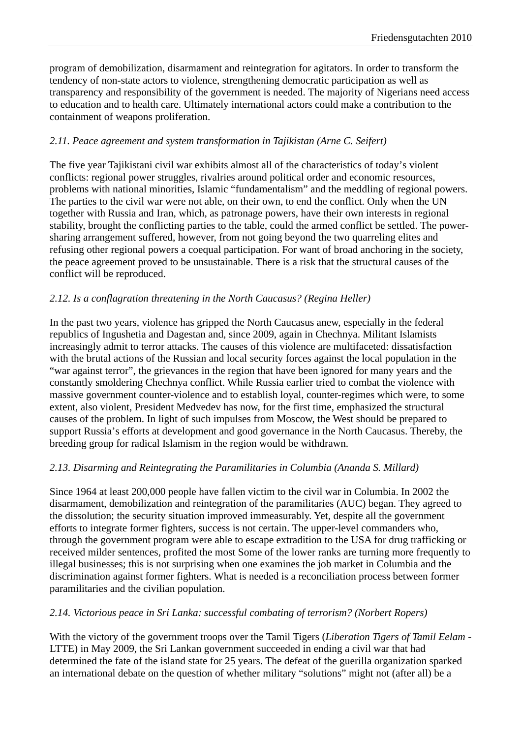program of demobilization, disarmament and reintegration for agitators. In order to transform the tendency of non-state actors to violence, strengthening democratic participation as well as transparency and responsibility of the government is needed. The majority of Nigerians need access to education and to health care. Ultimately international actors could make a contribution to the containment of weapons proliferation.

# *2.11. Peace agreement and system transformation in Tajikistan (Arne C. Seifert)*

The five year Tajikistani civil war exhibits almost all of the characteristics of today's violent conflicts: regional power struggles, rivalries around political order and economic resources, problems with national minorities, Islamic "fundamentalism" and the meddling of regional powers. The parties to the civil war were not able, on their own, to end the conflict. Only when the UN together with Russia and Iran, which, as patronage powers, have their own interests in regional stability, brought the conflicting parties to the table, could the armed conflict be settled. The powersharing arrangement suffered, however, from not going beyond the two quarreling elites and refusing other regional powers a coequal participation. For want of broad anchoring in the society, the peace agreement proved to be unsustainable. There is a risk that the structural causes of the conflict will be reproduced.

## *2.12. Is a conflagration threatening in the North Caucasus? (Regina Heller)*

In the past two years, violence has gripped the North Caucasus anew, especially in the federal republics of Ingushetia and Dagestan and, since 2009, again in Chechnya. Militant Islamists increasingly admit to terror attacks. The causes of this violence are multifaceted: dissatisfaction with the brutal actions of the Russian and local security forces against the local population in the "war against terror", the grievances in the region that have been ignored for many years and the constantly smoldering Chechnya conflict. While Russia earlier tried to combat the violence with massive government counter-violence and to establish loyal, counter-regimes which were, to some extent, also violent, President Medvedev has now, for the first time, emphasized the structural causes of the problem. In light of such impulses from Moscow, the West should be prepared to support Russia's efforts at development and good governance in the North Caucasus. Thereby, the breeding group for radical Islamism in the region would be withdrawn.

## *2.13. Disarming and Reintegrating the Paramilitaries in Columbia (Ananda S. Millard)*

Since 1964 at least 200,000 people have fallen victim to the civil war in Columbia. In 2002 the disarmament, demobilization and reintegration of the paramilitaries (AUC) began. They agreed to the dissolution; the security situation improved immeasurably. Yet, despite all the government efforts to integrate former fighters, success is not certain. The upper-level commanders who, through the government program were able to escape extradition to the USA for drug trafficking or received milder sentences, profited the most Some of the lower ranks are turning more frequently to illegal businesses; this is not surprising when one examines the job market in Columbia and the discrimination against former fighters. What is needed is a reconciliation process between former paramilitaries and the civilian population.

#### *2.14. Victorious peace in Sri Lanka: successful combating of terrorism? (Norbert Ropers)*

With the victory of the government troops over the Tamil Tigers (*Liberation Tigers of Tamil Eelam -*  LTTE) in May 2009, the Sri Lankan government succeeded in ending a civil war that had determined the fate of the island state for 25 years. The defeat of the guerilla organization sparked an international debate on the question of whether military "solutions" might not (after all) be a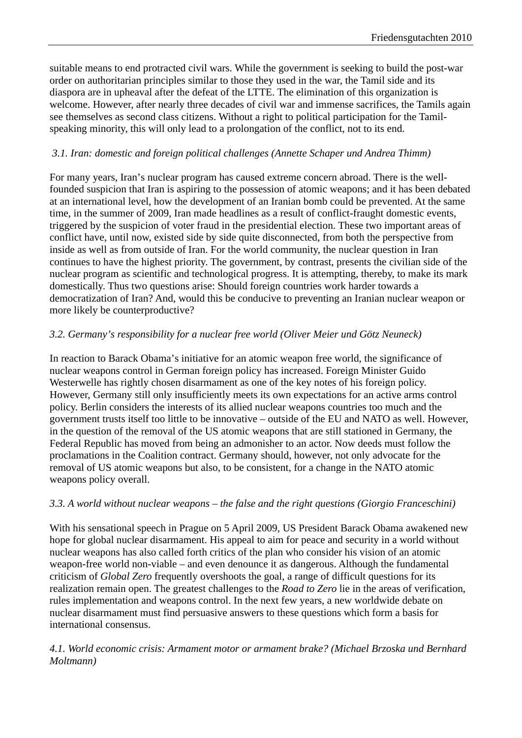suitable means to end protracted civil wars. While the government is seeking to build the post-war order on authoritarian principles similar to those they used in the war, the Tamil side and its diaspora are in upheaval after the defeat of the LTTE. The elimination of this organization is welcome. However, after nearly three decades of civil war and immense sacrifices, the Tamils again see themselves as second class citizens. Without a right to political participation for the Tamilspeaking minority, this will only lead to a prolongation of the conflict, not to its end.

## *3.1. Iran: domestic and foreign political challenges (Annette Schaper und Andrea Thimm)*

For many years, Iran's nuclear program has caused extreme concern abroad. There is the wellfounded suspicion that Iran is aspiring to the possession of atomic weapons; and it has been debated at an international level, how the development of an Iranian bomb could be prevented. At the same time, in the summer of 2009, Iran made headlines as a result of conflict-fraught domestic events, triggered by the suspicion of voter fraud in the presidential election. These two important areas of conflict have, until now, existed side by side quite disconnected, from both the perspective from inside as well as from outside of Iran. For the world community, the nuclear question in Iran continues to have the highest priority. The government, by contrast, presents the civilian side of the nuclear program as scientific and technological progress. It is attempting, thereby, to make its mark domestically. Thus two questions arise: Should foreign countries work harder towards a democratization of Iran? And, would this be conducive to preventing an Iranian nuclear weapon or more likely be counterproductive?

## *3.2. Germany's responsibility for a nuclear free world (Oliver Meier und Götz Neuneck)*

In reaction to Barack Obama's initiative for an atomic weapon free world, the significance of nuclear weapons control in German foreign policy has increased. Foreign Minister Guido Westerwelle has rightly chosen disarmament as one of the key notes of his foreign policy. However, Germany still only insufficiently meets its own expectations for an active arms control policy. Berlin considers the interests of its allied nuclear weapons countries too much and the government trusts itself too little to be innovative – outside of the EU and NATO as well. However, in the question of the removal of the US atomic weapons that are still stationed in Germany, the Federal Republic has moved from being an admonisher to an actor. Now deeds must follow the proclamations in the Coalition contract. Germany should, however, not only advocate for the removal of US atomic weapons but also, to be consistent, for a change in the NATO atomic weapons policy overall.

## *3.3. A world without nuclear weapons – the false and the right questions (Giorgio Franceschini)*

With his sensational speech in Prague on 5 April 2009, US President Barack Obama awakened new hope for global nuclear disarmament. His appeal to aim for peace and security in a world without nuclear weapons has also called forth critics of the plan who consider his vision of an atomic weapon-free world non-viable – and even denounce it as dangerous. Although the fundamental criticism of *Global Zero* frequently overshoots the goal, a range of difficult questions for its realization remain open. The greatest challenges to the *Road to Zero* lie in the areas of verification, rules implementation and weapons control. In the next few years, a new worldwide debate on nuclear disarmament must find persuasive answers to these questions which form a basis for international consensus.

#### *4.1. World economic crisis: Armament motor or armament brake? (Michael Brzoska und Bernhard Moltmann)*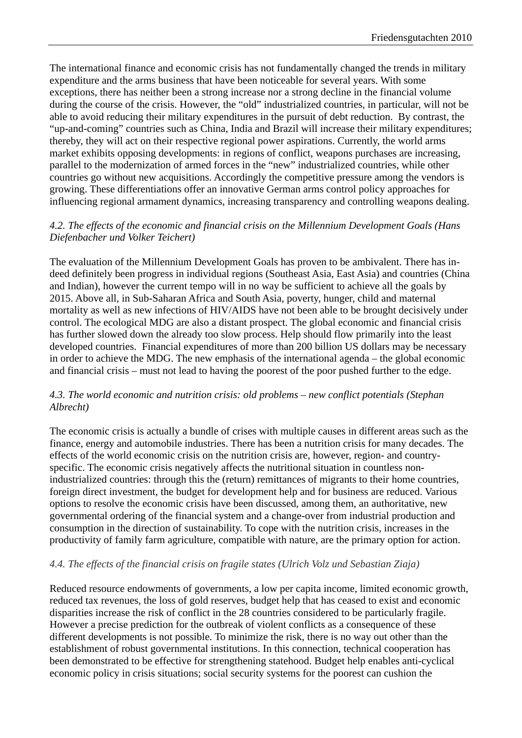The international finance and economic crisis has not fundamentally changed the trends in military expenditure and the arms business that have been noticeable for several years. With some exceptions, there has neither been a strong increase nor a strong decline in the financial volume during the course of the crisis. However, the "old" industrialized countries, in particular, will not be able to avoid reducing their military expenditures in the pursuit of debt reduction. By contrast, the "up-and-coming" countries such as China, India and Brazil will increase their military expenditures; thereby, they will act on their respective regional power aspirations. Currently, the world arms market exhibits opposing developments: in regions of conflict, weapons purchases are increasing, parallel to the modernization of armed forces in the "new" industrialized countries, while other countries go without new acquisitions. Accordingly the competitive pressure among the vendors is growing. These differentiations offer an innovative German arms control policy approaches for influencing regional armament dynamics, increasing transparency and controlling weapons dealing.

#### *4.2. The effects of the economic and financial crisis on the Millennium Development Goals (Hans Diefenbacher und Volker Teichert)*

The evaluation of the Millennium Development Goals has proven to be ambivalent. There has indeed definitely been progress in individual regions (Southeast Asia, East Asia) and countries (China and Indian), however the current tempo will in no way be sufficient to achieve all the goals by 2015. Above all, in Sub-Saharan Africa and South Asia, poverty, hunger, child and maternal mortality as well as new infections of HIV/AIDS have not been able to be brought decisively under control. The ecological MDG are also a distant prospect. The global economic and financial crisis has further slowed down the already too slow process. Help should flow primarily into the least developed countries. Financial expenditures of more than 200 billion US dollars may be necessary in order to achieve the MDG. The new emphasis of the international agenda – the global economic and financial crisis – must not lead to having the poorest of the poor pushed further to the edge.

#### *4.3. The world economic and nutrition crisis: old problems – new conflict potentials (Stephan Albrecht)*

The economic crisis is actually a bundle of crises with multiple causes in different areas such as the finance, energy and automobile industries. There has been a nutrition crisis for many decades. The effects of the world economic crisis on the nutrition crisis are, however, region- and countryspecific. The economic crisis negatively affects the nutritional situation in countless nonindustrialized countries: through this the (return) remittances of migrants to their home countries, foreign direct investment, the budget for development help and for business are reduced. Various options to resolve the economic crisis have been discussed, among them, an authoritative, new governmental ordering of the financial system and a change-over from industrial production and consumption in the direction of sustainability. To cope with the nutrition crisis, increases in the productivity of family farm agriculture, compatible with nature, are the primary option for action.

## *4.4. The effects of the financial crisis on fragile states (Ulrich Volz und Sebastian Ziaja)*

Reduced resource endowments of governments, a low per capita income, limited economic growth, reduced tax revenues, the loss of gold reserves, budget help that has ceased to exist and economic disparities increase the risk of conflict in the 28 countries considered to be particularly fragile. However a precise prediction for the outbreak of violent conflicts as a consequence of these different developments is not possible. To minimize the risk, there is no way out other than the establishment of robust governmental institutions. In this connection, technical cooperation has been demonstrated to be effective for strengthening statehood. Budget help enables anti-cyclical economic policy in crisis situations; social security systems for the poorest can cushion the